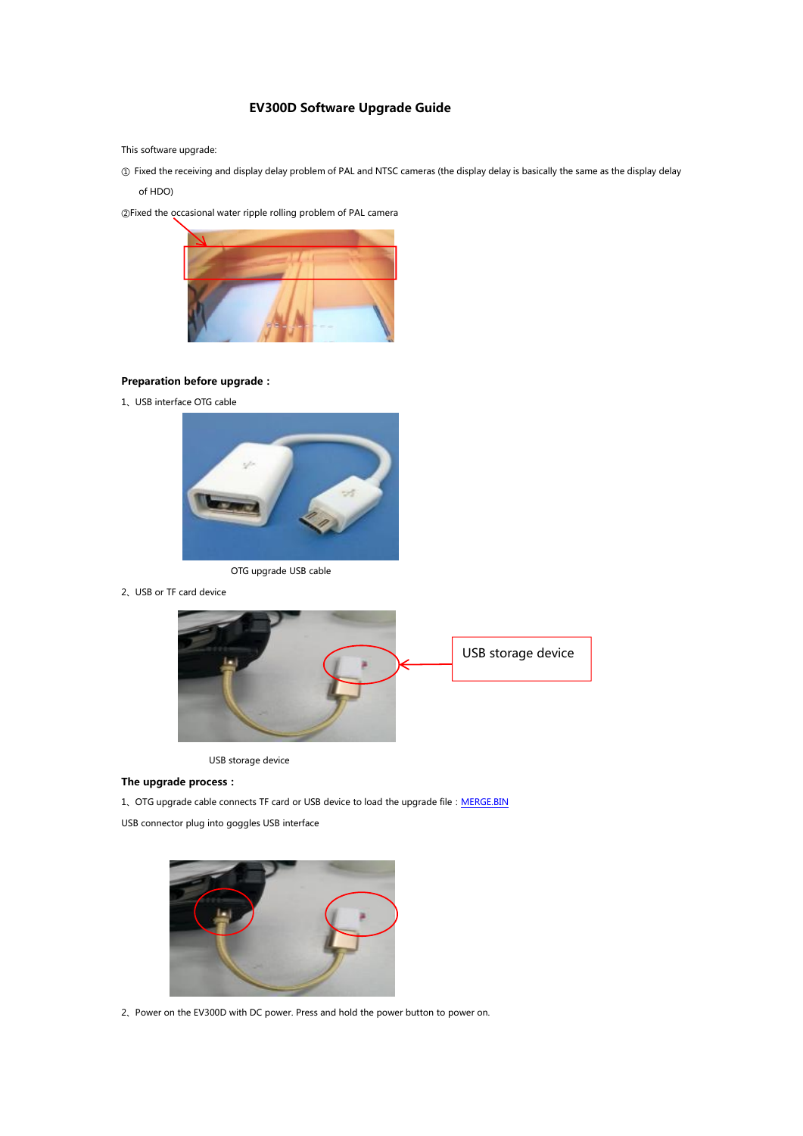## **EV300D Software Upgrade Guide**

This software upgrade:

① Fixed the receiving and display delay problem of PAL and NTSC cameras (the display delay is basically the same as the display delay of HDO)

②Fixed the occasionalwater ripple rolling problem ofPAL camera



## **Preparation before upgrade:**

1、USB interface OTG cable



OTG upgrade USB cable

2、USB or TF card device



USB storage device

## **The upgrade process:**

1、OTG upgrade cable connects TF card or USB device to load the upgrade file: [MERGE.BIN](https://drive.google.com/open?id=1Ju52QDcnA844cWjfzuJCXryUvNvEXZSF)

USB connector plug into goggles USB interface



2、Power on the EV300D with DC power. Press and hold the power button to power on.